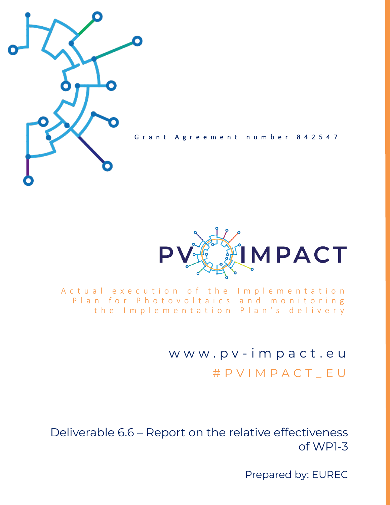

Grant Agreement number 842547



A c t u a l e x e c u t i o n o f t h e Implementation Plan for Photovoltaics and monitoring the Implementation Plan's delivery

> w w w . p v - i m p a c t . e u # P V I M P A C T \_ E U

Deliverable 6.6 – Report on the relative effectiveness of WP1-3

Prepared by: EUREC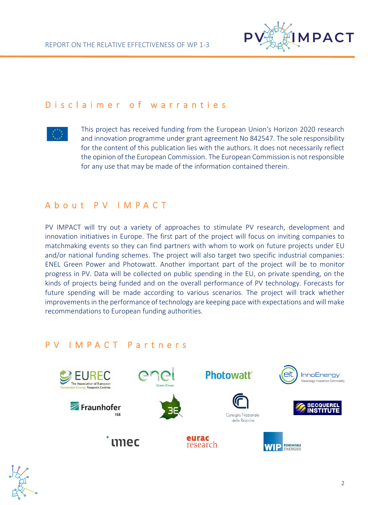

### D is claimer of warranties



This project has received funding from the European Union's Horizon 2020 research and innovation programme under grant agreement No 842547. The sole responsibility for the content of this publication lies with the authors. It does not necessarily reflect the opinion of the European Commission. The European Commission is not responsible for any use that may be made of the information contained therein.

## A b o u t P V I M P A C T

PV IMPACT will try out a variety of approaches to stimulate PV research, development and innovation initiatives in Europe. The first part of the project will focus on inviting companies to matchmaking events so they can find partners with whom to work on future projects under EU and/or national funding schemes. The project will also target two specific industrial companies: ENEL Green Power and Photowatt. Another important part of the project will be to monitor progress in PV. Data will be collected on public spending in the EU, on private spending, on the kinds of projects being funded and on the overall performance of PV technology. Forecasts for future spending will be made according to various scenarios. The project will track whether improvements in the performance of technology are keeping pace with expectations and will make recommendations to European funding authorities.

### P V I M P A C T P a r t n e r s



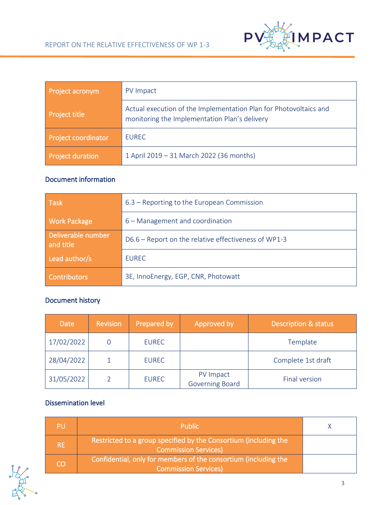

| Project acronym            | PV Impact                                                                                                          |  |
|----------------------------|--------------------------------------------------------------------------------------------------------------------|--|
| <b>Project title</b>       | Actual execution of the Implementation Plan for Photovoltaics and<br>monitoring the Implementation Plan's delivery |  |
| <b>Project coordinator</b> | <b>EUREC</b>                                                                                                       |  |
| <b>Project duration</b>    | 1 April 2019 - 31 March 2022 (36 months)                                                                           |  |

### Document information

| <b>Task</b>                     | 6.3 – Reporting to the European Commission           |  |  |
|---------------------------------|------------------------------------------------------|--|--|
| <b>Work Package</b>             | 6 – Management and coordination                      |  |  |
| Deliverable number<br>and title | D6.6 – Report on the relative effectiveness of WP1-3 |  |  |
| Lead author/s                   | <b>EUREC</b>                                         |  |  |
| <b>Contributors</b>             | 3E, InnoEnergy, EGP, CNR, Photowatt                  |  |  |

## Document history

| <b>Date</b> | <b>Revision</b> | Prepared by  | Approved by                  | <b>Description &amp; status</b> |  |
|-------------|-----------------|--------------|------------------------------|---------------------------------|--|
| 17/02/2022  |                 | <b>EUREC</b> |                              | Template<br>Complete 1st draft  |  |
| 28/04/2022  |                 | <b>EUREC</b> |                              |                                 |  |
| 31/05/2022  |                 | <b>EUREC</b> | PV Impact<br>Governing Board | Final version                   |  |

### Dissemination level

|           | <b>Public</b>                                                                                   |  |
|-----------|-------------------------------------------------------------------------------------------------|--|
| <b>RE</b> | Restricted to a group specified by the Consortium (including the<br><b>Commission Services)</b> |  |
| CO        | Confidential, only for members of the consortium (including the<br><b>Commission Services)</b>  |  |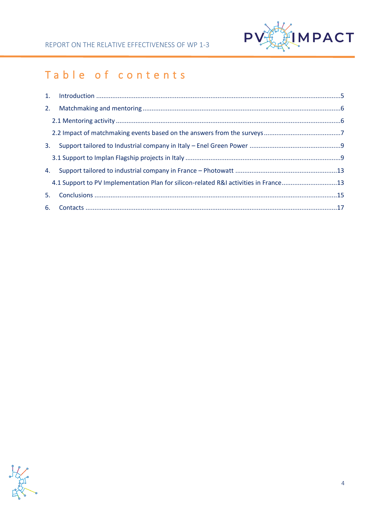

# Table of contents

| 2. |                                                                                      |  |
|----|--------------------------------------------------------------------------------------|--|
|    |                                                                                      |  |
|    |                                                                                      |  |
| 3. |                                                                                      |  |
|    |                                                                                      |  |
| 4. |                                                                                      |  |
|    | 4.1 Support to PV Implementation Plan for silicon-related R&I activities in France13 |  |
| 5. |                                                                                      |  |
|    |                                                                                      |  |

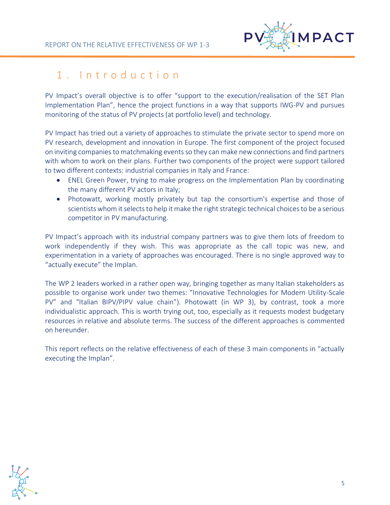

## <span id="page-4-0"></span>1 . I n t r o d u c t i o n

PV Impact's overall objective is to offer "support to the execution/realisation of the SET Plan Implementation Plan", hence the project functions in a way that supports IWG-PV and pursues monitoring of the status of PV projects (at portfolio level) and technology.

PV Impact has tried out a variety of approaches to stimulate the private sector to spend more on PV research, development and innovation in Europe. The first component of the project focused on inviting companies to matchmaking events so they can make new connections and find partners with whom to work on their plans. Further two components of the project were support tailored to two different contexts: industrial companies in Italy and France:

- ENEL Green Power, trying to make progress on the Implementation Plan by coordinating the many different PV actors in Italy;
- Photowatt, working mostly privately but tap the consortium's expertise and those of scientists whom it selects to help it make the right strategic technical choices to be a serious competitor in PV manufacturing.

PV Impact's approach with its industrial company partners was to give them lots of freedom to work independently if they wish. This was appropriate as the call topic was new, and experimentation in a variety of approaches was encouraged. There is no single approved way to "actually execute" the Implan.

The WP 2 leaders worked in a rather open way, bringing together as many Italian stakeholders as possible to organise work under two themes: "Innovative Technologies for Modern Utility-Scale PV" and "Italian BIPV/PIPV value chain"). Photowatt (in WP 3), by contrast, took a more individualistic approach. This is worth trying out, too, especially as it requests modest budgetary resources in relative and absolute terms. The success of the different approaches is commented on hereunder.

This report reflects on the relative effectiveness of each of these 3 main components in "actually executing the Implan".

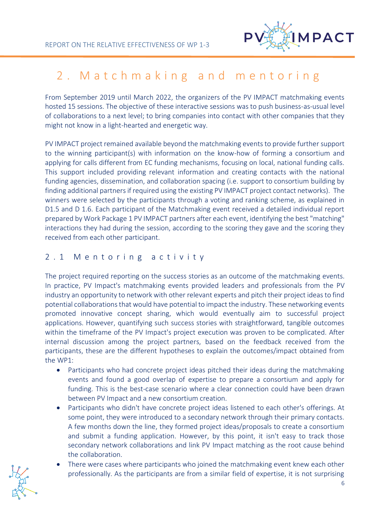

## <span id="page-5-0"></span>2. Matchmaking and mentoring

From September 2019 until March 2022, the organizers of the PV IMPACT matchmaking events hosted 15 sessions. The objective of these interactive sessions was to push business-as-usual level of collaborations to a next level; to bring companies into contact with other companies that they might not know in a light-hearted and energetic way.

PV IMPACT project remained available beyond the matchmaking events to provide further support to the winning participant(s) with information on the know-how of forming a consortium and applying for calls different from EC funding mechanisms, focusing on local, national funding calls. This support included providing relevant information and creating contacts with the national funding agencies, dissemination, and collaboration spacing (i.e. support to consortium building by finding additional partners if required using the existing PV IMPACT project contact networks). The winners were selected by the participants through a voting and ranking scheme, as explained in D1.5 and D 1.6. Each participant of the Matchmaking event received a detailed individual report prepared by Work Package 1 PV IMPACT partners after each event, identifying the best "matching" interactions they had during the session, according to the scoring they gave and the scoring they received from each other participant.

### <span id="page-5-1"></span>2 . 1 M e n t o r i n g a c t i v i t y

The project required reporting on the success stories as an outcome of the matchmaking events. In practice, PV Impact's matchmaking events provided leaders and professionals from the PV industry an opportunity to network with other relevant experts and pitch their project ideas to find potential collaborations that would have potential to impact the industry. These networking events promoted innovative concept sharing, which would eventually aim to successful project applications. However, quantifying such success stories with straightforward, tangible outcomes within the timeframe of the PV Impact's project execution was proven to be complicated. After internal discussion among the project partners, based on the feedback received from the participants, these are the different hypotheses to explain the outcomes/impact obtained from the WP1:

- Participants who had concrete project ideas pitched their ideas during the matchmaking events and found a good overlap of expertise to prepare a consortium and apply for funding. This is the best-case scenario where a clear connection could have been drawn between PV Impact and a new consortium creation.
- Participants who didn't have concrete project ideas listened to each other's offerings. At some point, they were introduced to a secondary network through their primary contacts. A few months down the line, they formed project ideas/proposals to create a consortium and submit a funding application. However, by this point, it isn't easy to track those secondary network collaborations and link PV Impact matching as the root cause behind the collaboration.
- There were cases where participants who joined the matchmaking event knew each other professionally. As the participants are from a similar field of expertise, it is not surprising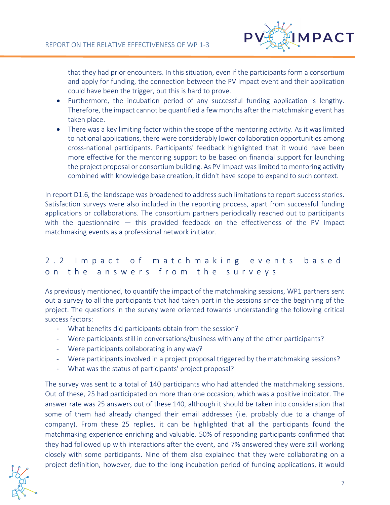

that they had prior encounters. In this situation, even if the participants form a consortium and apply for funding, the connection between the PV Impact event and their application could have been the trigger, but this is hard to prove.

- Furthermore, the incubation period of any successful funding application is lengthy. Therefore, the impact cannot be quantified a few months after the matchmaking event has taken place.
- There was a key limiting factor within the scope of the mentoring activity. As it was limited to national applications, there were considerably lower collaboration opportunities among cross-national participants. Participants' feedback highlighted that it would have been more effective for the mentoring support to be based on financial support for launching the project proposal or consortium building. As PV Impact was limited to mentoring activity combined with knowledge base creation, it didn't have scope to expand to such context.

In report D1.6, the landscape was broadened to address such limitations to report success stories. Satisfaction surveys were also included in the reporting process, apart from successful funding applications or collaborations. The consortium partners periodically reached out to participants with the questionnaire — this provided feedback on the effectiveness of the PV Impact matchmaking events as a professional network initiator.

## <span id="page-6-0"></span>2 . 2 I m p a c t o f m a t c h m a k i n g e v e n t s b a s e d on the answers from the surveys

As previously mentioned, to quantify the impact of the matchmaking sessions, WP1 partners sent out a survey to all the participants that had taken part in the sessions since the beginning of the project. The questions in the survey were oriented towards understanding the following critical success factors:

- What benefits did participants obtain from the session?
- Were participants still in conversations/business with any of the other participants?
- Were participants collaborating in any way?
- Were participants involved in a project proposal triggered by the matchmaking sessions?
- What was the status of participants' project proposal?

The survey was sent to a total of 140 participants who had attended the matchmaking sessions. Out of these, 25 had participated on more than one occasion, which was a positive indicator. The answer rate was 25 answers out of these 140, although it should be taken into consideration that some of them had already changed their email addresses (i.e. probably due to a change of company). From these 25 replies, it can be highlighted that all the participants found the matchmaking experience enriching and valuable. 50% of responding participants confirmed that they had followed up with interactions after the event, and 7% answered they were still working closely with some participants. Nine of them also explained that they were collaborating on a project definition, however, due to the long incubation period of funding applications, it would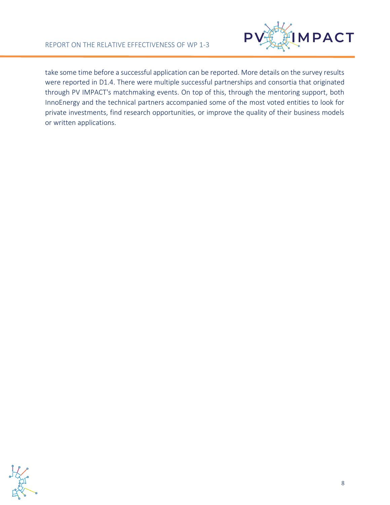

take some time before a successful application can be reported. More details on the survey results were reported in D1.4. There were multiple successful partnerships and consortia that originated through PV IMPACT's matchmaking events. On top of this, through the mentoring support, both InnoEnergy and the technical partners accompanied some of the most voted entities to look for private investments, find research opportunities, or improve the quality of their business models or written applications.

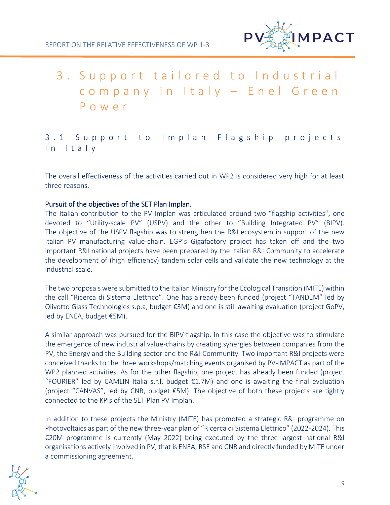

# <span id="page-8-0"></span>3. Support tailored to Industrial company in Italy - Enel Green P o w e r

## <span id="page-8-1"></span>3.1 Support to Implan Flagship projects in I t a l y

The overall effectiveness of the activities carried out in WP2 is considered very high for at least three reasons.

#### Pursuit of the objectives of the SET Plan Implan.

The Italian contribution to the PV Implan was articulated around two "flagship activities", one devoted to "Utility-scale PV" (USPV) and the other to "Building Integrated PV" (BIPV). The objective of the USPV flagship was to strengthen the R&I ecosystem in support of the new Italian PV manufacturing value-chain. EGP's Gigafactory project has taken off and the two important R&I national projects have been prepared by the Italian R&I Community to accelerate the development of (high efficiency) tandem solar cells and validate the new technology at the industrial scale.

The two proposals were submitted to the Italian Ministry for the Ecological Transition (MITE) within the call "Ricerca di Sistema Elettrico". One has already been funded (project "TANDEM" led by Olivotto Glass Technologies s.p.a, budget €3M) and one is still awaiting evaluation (project GoPV, led by ENEA, budget €5M).

A similar approach was pursued for the BIPV flagship. In this case the objective was to stimulate the emergence of new industrial value-chains by creating synergies between companies from the PV, the Energy and the Building sector and the R&I Community. Two important R&I projects were conceived thanks to the three workshops/matching events organised by PV-IMPACT as part of the WP2 planned activities. As for the other flagship, one project has already been funded (project "FOURIER" led by CAMLIN Italia s.r.l, budget  $\epsilon$ 1.7M) and one is awaiting the final evaluation (project "CANVAS", led by CNR, budget €5M). The objective of both these projects are tightly connected to the KPIs of the SET Plan PV Implan.

In addition to these projects the Ministry (MITE) has promoted a strategic R&I programme on Photovoltaics as part of the new three-year plan of "Ricerca di Sistema Elettrico" (2022-2024). This €20M programme is currently (May 2022) being executed by the three largest national R&I organisations actively involved in PV, that is ENEA, RSE and CNR and directly funded by MITE under a commissioning agreement.

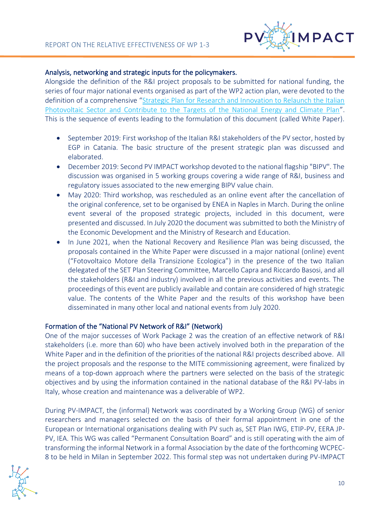

#### Analysis, networking and strategic inputs for the policymakers.

Alongside the definition of the R&I project proposals to be submitted for national funding, the series of four major national events organised as part of the WP2 action plan, were devoted to the definition of a comprehensive "[Strategic Plan for Research and Innovation to Relaunch the Italian](https://pvimpact.eu/news-resources/reports/download/a-strategic-plan-for-research-and-innovation-to-re)  [Photovoltaic Sector and Contribute to the Targets of the National Energy and Climate Plan](https://pvimpact.eu/news-resources/reports/download/a-strategic-plan-for-research-and-innovation-to-re)". This is the sequence of events leading to the formulation of this document (called White Paper).

- September 2019: First workshop of the Italian R&I stakeholders of the PV sector, hosted by EGP in Catania. The basic structure of the present strategic plan was discussed and elaborated.
- December 2019: Second PV IMPACT workshop devoted to the national flagship "BIPV". The discussion was organised in 5 working groups covering a wide range of R&I, business and regulatory issues associated to the new emerging BIPV value chain.
- May 2020: Third workshop, was rescheduled as an online event after the cancellation of the original conference, set to be organised by ENEA in Naples in March. During the online event several of the proposed strategic projects, included in this document, were presented and discussed. In July 2020 the document was submitted to both the Ministry of the Economic Development and the Ministry of Research and Education.
- In June 2021, when the National Recovery and Resilience Plan was being discussed, the proposals contained in the White Paper were discussed in a major national (online) event ("Fotovoltaico Motore della Transizione Ecologica") in the presence of the two Italian delegated of the SET Plan Steering Committee, Marcello Capra and Riccardo Basosi, and all the stakeholders (R&I and industry) involved in all the previous activities and events. The proceedings of this event are publicly available and contain are considered of high strategic value. The contents of the White Paper and the results of this workshop have been disseminated in many other local and national events from July 2020.

#### Formation of the "National PV Network of R&I" (Network)

One of the major successes of Work Package 2 was the creation of an effective network of R&I stakeholders (i.e. more than 60) who have been actively involved both in the preparation of the White Paper and in the definition of the priorities of the national R&I projects described above. All the project proposals and the response to the MITE commissioning agreement, were finalized by means of a top-down approach where the partners were selected on the basis of the strategic objectives and by using the information contained in the national database of the R&I PV-labs in Italy, whose creation and maintenance was a deliverable of WP2.

During PV-IMPACT, the (informal) Network was coordinated by a Working Group (WG) of senior researchers and managers selected on the basis of their formal appointment in one of the European or International organisations dealing with PV such as, SET Plan IWG, ETIP-PV, EERA JP-PV, IEA. This WG was called "Permanent Consultation Board" and is still operating with the aim of transforming the informal Network in a formal Association by the date of the forthcoming WCPEC-8 to be held in Milan in September 2022. This formal step was not undertaken during PV-IMPACT

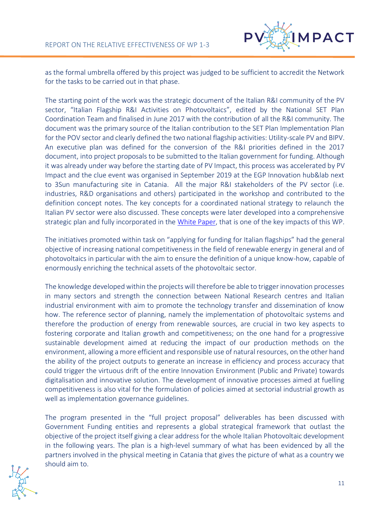

as the formal umbrella offered by this project was judged to be sufficient to accredit the Network for the tasks to be carried out in that phase.

The starting point of the work was the strategic document of the Italian R&I community of the PV sector, "Italian Flagship R&I Activities on Photovoltaics", edited by the National SET Plan Coordination Team and finalised in June 2017 with the contribution of all the R&I community. The document was the primary source of the Italian contribution to the SET Plan Implementation Plan for the POV sector and clearly defined the two national flagship activities: Utility-scale PV and BIPV. An executive plan was defined for the conversion of the R&I priorities defined in the 2017 document, into project proposals to be submitted to the Italian government for funding. Although it was already under way before the starting date of PV Impact, this process was accelerated by PV Impact and the clue event was organised in September 2019 at the EGP Innovation hub&lab next to 3Sun manufacturing site in Catania. All the major R&I stakeholders of the PV sector (i.e. industries, R&D organisations and others) participated in the workshop and contributed to the definition concept notes. The key concepts for a coordinated national strategy to relaunch the Italian PV sector were also discussed. These concepts were later developed into a comprehensive strategic plan and fully incorporated in the [White Paper,](https://pvimpact.eu/news-resources/reports/download/a-strategic-plan-for-research-and-innovation-to-re) that is one of the key impacts of this WP.

The initiatives promoted within task on "applying for funding for Italian flagships" had the general objective of increasing national competitiveness in the field of renewable energy in general and of photovoltaics in particular with the aim to ensure the definition of a unique know-how, capable of enormously enriching the technical assets of the photovoltaic sector.

The knowledge developed within the projects will therefore be able to trigger innovation processes in many sectors and strength the connection between National Research centres and Italian industrial environment with aim to promote the technology transfer and dissemination of know how. The reference sector of planning, namely the implementation of photovoltaic systems and therefore the production of energy from renewable sources, are crucial in two key aspects to fostering corporate and Italian growth and competitiveness; on the one hand for a progressive sustainable development aimed at reducing the impact of our production methods on the environment, allowing a more efficient and responsible use of natural resources, on the other hand the ability of the project outputs to generate an increase in efficiency and process accuracy that could trigger the virtuous drift of the entire Innovation Environment (Public and Private) towards digitalisation and innovative solution. The development of innovative processes aimed at fuelling competitiveness is also vital for the formulation of policies aimed at sectorial industrial growth as well as implementation governance guidelines.

The program presented in the "full project proposal" deliverables has been discussed with Government Funding entities and represents a global strategical framework that outlast the objective of the project itself giving a clear address for the whole Italian Photovoltaic development in the following years. The plan is a high-level summary of what has been evidenced by all the partners involved in the physical meeting in Catania that gives the picture of what as a country we should aim to.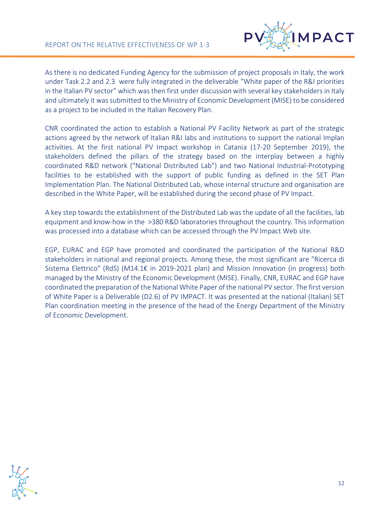

As there is no dedicated Funding Agency for the submission of project proposals in Italy, the work under Task 2.2 and 2.3 were fully integrated in the deliverable "White paper of the R&I priorities in the Italian PV sector" which was then first under discussion with several key stakeholders in Italy and ultimately it was submitted to the Ministry of Economic Development (MISE) to be considered as a project to be included in the Italian Recovery Plan.

CNR coordinated the action to establish a National PV Facility Network as part of the strategic actions agreed by the network of Italian R&I labs and institutions to support the national Implan activities. At the first national PV Impact workshop in Catania (17-20 September 2019), the stakeholders defined the pillars of the strategy based on the interplay between a highly coordinated R&D network ("National Distributed Lab") and two National Industrial-Prototyping facilities to be established with the support of public funding as defined in the SET Plan Implementation Plan. The National Distributed Lab, whose internal structure and organisation are described in the White Paper, will be established during the second phase of PV Impact.

A key step towards the establishment of the Distributed Lab was the update of all the facilities, lab equipment and know-how in the >380 R&D laboratories throughout the country. This information was processed into a database which can be accessed through the PV Impact Web site.

EGP, EURAC and EGP have promoted and coordinated the participation of the National R&D stakeholders in national and regional projects. Among these, the most significant are "Ricerca di Sistema Elettrico" (RdS) (M14.1€ in 2019-2021 plan) and Mission Innovation (in progress) both managed by the Ministry of the Economic Development (MISE). Finally, CNR, EURAC and EGP have coordinated the preparation of the National White Paper of the national PV sector. The first version of White Paper is a Deliverable (D2.6) of PV IMPACT. It was presented at the national (Italian) SET Plan coordination meeting in the presence of the head of the Energy Department of the Ministry of Economic Development.

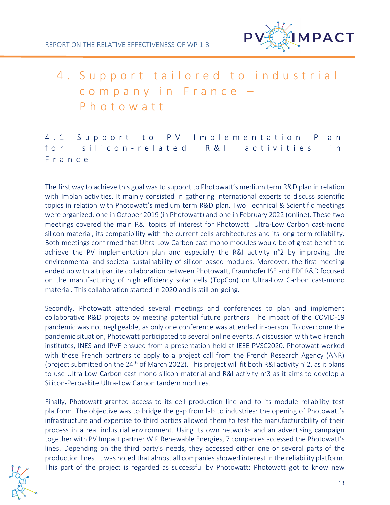

# <span id="page-12-0"></span>4. Support tailored to industrial company in France P h o t o w a t t

<span id="page-12-1"></span>4.1 Support to PV Implementation Plan for silicon-related R&I activities in F r a n c e

The first way to achieve this goal was to support to Photowatt's medium term R&D plan in relation with Implan activities. It mainly consisted in gathering international experts to discuss scientific topics in relation with Photowatt's medium term R&D plan. Two Technical & Scientific meetings were organized: one in October 2019 (in Photowatt) and one in February 2022 (online). These two meetings covered the main R&I topics of interest for Photowatt: Ultra-Low Carbon cast-mono silicon material, its compatibility with the current cells architectures and its long-term reliability. Both meetings confirmed that Ultra-Low Carbon cast-mono modules would be of great benefit to achieve the PV implementation plan and especially the R&I activity n°2 by improving the environmental and societal sustainability of silicon-based modules. Moreover, the first meeting ended up with a tripartite collaboration between Photowatt, Fraunhofer ISE and EDF R&D focused on the manufacturing of high efficiency solar cells (TopCon) on Ultra-Low Carbon cast-mono material. This collaboration started in 2020 and is still on-going.

Secondly, Photowatt attended several meetings and conferences to plan and implement collaborative R&D projects by meeting potential future partners. The impact of the COVID-19 pandemic was not negligeable, as only one conference was attended in-person. To overcome the pandemic situation, Photowatt participated to several online events. A discussion with two French institutes, INES and IPVF ensued from a presentation held at IEEE PVSC2020. Photowatt worked with these French partners to apply to a project call from the French Research Agency (ANR) (project submitted on the 24<sup>th</sup> of March 2022). This project will fit both R&I activity n°2, as it plans to use Ultra-Low Carbon cast-mono silicon material and R&I activity n°3 as it aims to develop a Silicon-Perovskite Ultra-Low Carbon tandem modules.

Finally, Photowatt granted access to its cell production line and to its module reliability test platform. The objective was to bridge the gap from lab to industries: the opening of Photowatt's infrastructure and expertise to third parties allowed them to test the manufacturability of their process in a real industrial environment. Using its own networks and an advertising campaign together with PV Impact partner WIP Renewable Energies, 7 companies accessed the Photowatt's lines. Depending on the third party's needs, they accessed either one or several parts of the production lines. It was noted that almost all companies showed interest in the reliability platform. This part of the project is regarded as successful by Photowatt: Photowatt got to know new

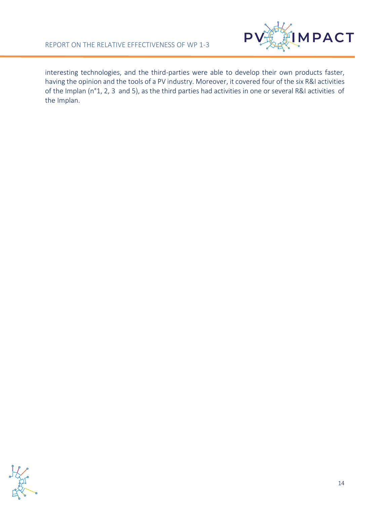

interesting technologies, and the third-parties were able to develop their own products faster, having the opinion and the tools of a PV industry. Moreover, it covered four of the six R&I activities of the Implan (n°1, 2, 3 and 5), as the third parties had activities in one or several R&I activities of the Implan.

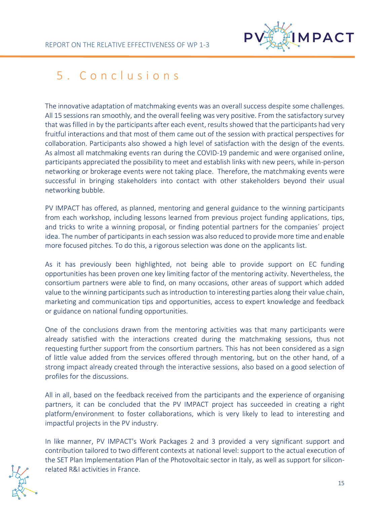

## <span id="page-14-0"></span>5 . C o n c l u s i o n s

The innovative adaptation of matchmaking events was an overall success despite some challenges. All 15 sessions ran smoothly, and the overall feeling was very positive. From the satisfactory survey that was filled in by the participants after each event, results showed that the participants had very fruitful interactions and that most of them came out of the session with practical perspectives for collaboration. Participants also showed a high level of satisfaction with the design of the events. As almost all matchmaking events ran during the COVID-19 pandemic and were organised online, participants appreciated the possibility to meet and establish links with new peers, while in-person networking or brokerage events were not taking place. Therefore, the matchmaking events were successful in bringing stakeholders into contact with other stakeholders beyond their usual networking bubble.

PV IMPACT has offered, as planned, mentoring and general guidance to the winning participants from each workshop, including lessons learned from previous project funding applications, tips, and tricks to write a winning proposal, or finding potential partners for the companies´ project idea. The number of participants in each session was also reduced to provide more time and enable more focused pitches. To do this, a rigorous selection was done on the applicants list.

As it has previously been highlighted, not being able to provide support on EC funding opportunities has been proven one key limiting factor of the mentoring activity. Nevertheless, the consortium partners were able to find, on many occasions, other areas of support which added value to the winning participants such as introduction to interesting parties along their value chain, marketing and communication tips and opportunities, access to expert knowledge and feedback or guidance on national funding opportunities.

One of the conclusions drawn from the mentoring activities was that many participants were already satisfied with the interactions created during the matchmaking sessions, thus not requesting further support from the consortium partners. This has not been considered as a sign of little value added from the services offered through mentoring, but on the other hand, of a strong impact already created through the interactive sessions, also based on a good selection of profiles for the discussions.

All in all, based on the feedback received from the participants and the experience of organising partners, it can be concluded that the PV IMPACT project has succeeded in creating a right platform/environment to foster collaborations, which is very likely to lead to interesting and impactful projects in the PV industry.

In like manner, PV IMPACT's Work Packages 2 and 3 provided a very significant support and contribution tailored to two different contexts at national level: support to the actual execution of the SET Plan Implementation Plan of the Photovoltaic sector in Italy, as well as support for siliconrelated R&I activities in France.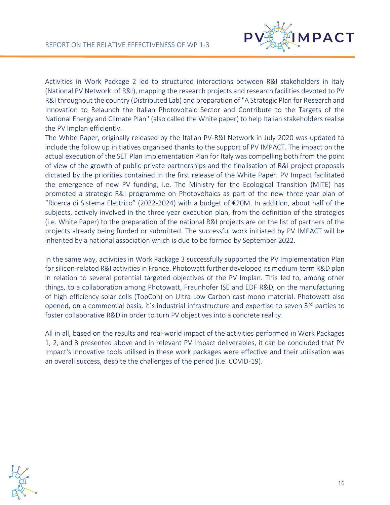

Activities in Work Package 2 led to structured interactions between R&I stakeholders in Italy (National PV Network of R&I), mapping the research projects and research facilities devoted to PV R&I throughout the country (Distributed Lab) and preparation of "A Strategic Plan for Research and Innovation to Relaunch the Italian Photovoltaic Sector and Contribute to the Targets of the National Energy and Climate Plan" (also called the White paper) to help Italian stakeholders realise the PV Implan efficiently.

The White Paper, originally released by the Italian PV-R&I Network in July 2020 was updated to include the follow up initiatives organised thanks to the support of PV IMPACT. The impact on the actual execution of the SET Plan Implementation Plan for Italy was compelling both from the point of view of the growth of public-private partnerships and the finalisation of R&I project proposals dictated by the priorities contained in the first release of the White Paper. PV Impact facilitated the emergence of new PV funding, i.e. The Ministry for the Ecological Transition (MITE) has promoted a strategic R&I programme on Photovoltaics as part of the new three-year plan of "Ricerca di Sistema Elettrico" (2022-2024) with a budget of  $E20M$ . In addition, about half of the subjects, actively involved in the three-year execution plan, from the definition of the strategies (i.e. White Paper) to the preparation of the national R&I projects are on the list of partners of the projects already being funded or submitted. The successful work initiated by PV IMPACT will be inherited by a national association which is due to be formed by September 2022.

In the same way, activities in Work Package 3 successfully supported the PV Implementation Plan for silicon-related R&I activities in France. Photowatt further developed its medium-term R&D plan in relation to several potential targeted objectives of the PV Implan. This led to, among other things, to a collaboration among Photowatt, Fraunhofer ISE and EDF R&D, on the manufacturing of high efficiency solar cells (TopCon) on Ultra-Low Carbon cast-mono material. Photowatt also opened, on a commercial basis, it's industrial infrastructure and expertise to seven 3<sup>rd</sup> parties to foster collaborative R&D in order to turn PV objectives into a concrete reality.

All in all, based on the results and real-world impact of the activities performed in Work Packages 1, 2, and 3 presented above and in relevant PV Impact deliverables, it can be concluded that PV Impact's innovative tools utilised in these work packages were effective and their utilisation was an overall success, despite the challenges of the period (i.e. COVID-19).